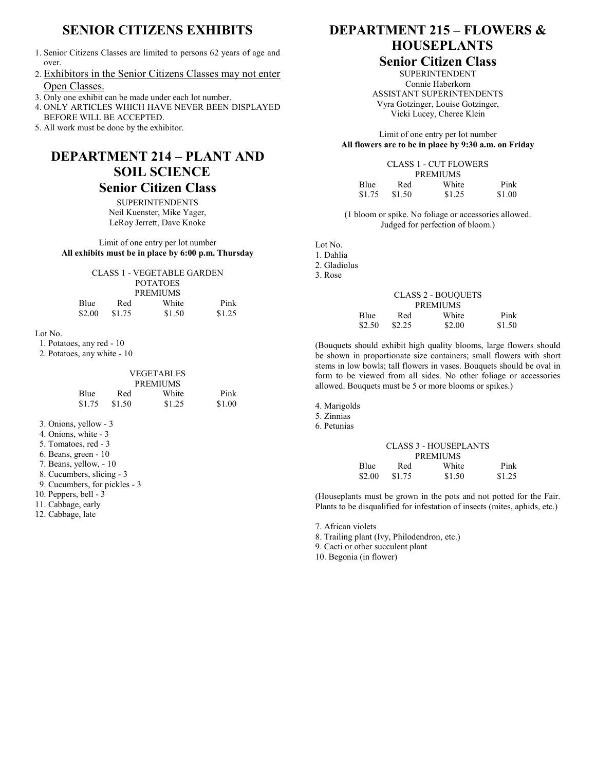# **SENIOR CITIZENS EXHIBITS**

- 1. Senior Citizens Classes are limited to persons 62 years of age and over.
- 2. Exhibitors in the Senior Citizens Classes may not enter Open Classes.
- 3. Only one exhibit can be made under each lot number.
- 4. ONLY ARTICLES WHICH HAVE NEVER BEEN DISPLAYED BEFORE WILL BE ACCEPTED.
- 5. All work must be done by the exhibitor.

# **DEPARTMENT 214 – PLANT AND SOIL SCIENCE**

### **Senior Citizen Class**

**SUPERINTENDENTS** Neil Kuenster, Mike Yager, LeRoy Jerrett, Dave Knoke

#### Limit of one entry per lot number **All exhibits must be in place by 6:00 p.m. Thursday**

|        |        | CLASS 1 - VEGETABLE GARDEN |        |
|--------|--------|----------------------------|--------|
|        |        | <b>POTATOES</b>            |        |
|        |        | <b>PREMIUMS</b>            |        |
| Blue   | Red    | White                      | Pink   |
| \$2.00 | \$1.75 | \$1.50                     | \$1.25 |

#### Lot No.

- 1. Potatoes, any red 10
- 2. Potatoes, any white 10

| <b>VEGETABLES</b><br><b>PREMIUMS</b> |        |        |        |  |
|--------------------------------------|--------|--------|--------|--|
| Blue                                 | Red    | White  | Pink   |  |
| \$1.75                               | \$1.50 | \$1.25 | \$1.00 |  |

- 3. Onions, yellow 3
- 4. Onions, white 3
- 5. Tomatoes, red 3
- 6. Beans, green 10
- 7. Beans, yellow, 10
- 8. Cucumbers, slicing 3
- 9. Cucumbers, for pickles 3
- 10. Peppers, bell 3
- 11. Cabbage, early
- 12. Cabbage, late

# **DEPARTMENT 215 – FLOWERS & HOUSEPLANTS**

### **Senior Citizen Class**

SUPERINTENDENT Connie Haberkorn ASSISTANT SUPERINTENDENTS Vyra Gotzinger, Louise Gotzinger, Vicki Lucey, Cheree Klein

Limit of one entry per lot number **All flowers are to be in place by 9:30 a.m. on Friday**

|        | CLASS 1 - CUT FLOWERS |        |        |  |  |
|--------|-----------------------|--------|--------|--|--|
|        | <b>PREMIUMS</b>       |        |        |  |  |
| Blue   | Red                   | White  | Pink   |  |  |
| \$1.75 | \$1.50                | \$1.25 | \$1.00 |  |  |

(1 bloom or spike. No foliage or accessories allowed. Judged for perfection of bloom.)

Lot No. 1. Dahlia

- 2. Gladiolus
- 3. Rose

| <b>CLASS 2 - BOUQUETS</b> |        |        |        |  |  |
|---------------------------|--------|--------|--------|--|--|
| <b>PREMIUMS</b>           |        |        |        |  |  |
| Blue                      | Red    | White  | Pink   |  |  |
| \$2.50                    | \$2.25 | \$2.00 | \$1.50 |  |  |

(Bouquets should exhibit high quality blooms, large flowers should be shown in proportionate size containers; small flowers with short stems in low bowls; tall flowers in vases. Bouquets should be oval in form to be viewed from all sides. No other foliage or accessories allowed. Bouquets must be 5 or more blooms or spikes.)

- 4. Marigolds
- 5. Zinnias
- 6. Petunias

|                 |        | <b>CLASS 3 - HOUSEPLANTS</b> |        |  |
|-----------------|--------|------------------------------|--------|--|
| <b>PREMIUMS</b> |        |                              |        |  |
| Blue            | Red    | White                        | Pink   |  |
| \$2.00          | \$1.75 | \$1.50                       | \$1.25 |  |

(Houseplants must be grown in the pots and not potted for the Fair. Plants to be disqualified for infestation of insects (mites, aphids, etc.)

7. African violets

8. Trailing plant (Ivy, Philodendron, etc.)

9. Cacti or other succulent plant

10. Begonia (in flower)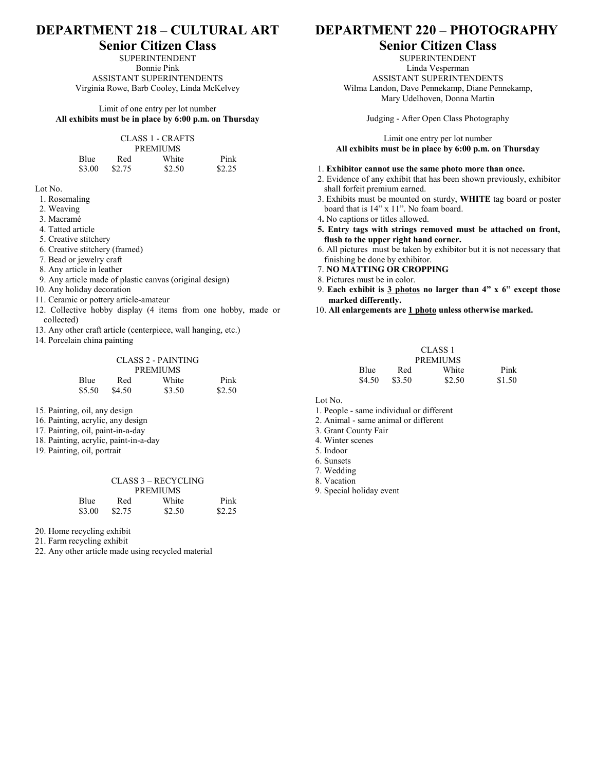## **DEPARTMENT 218 – CULTURAL ART**

### **Senior Citizen Class**

SUPERINTENDENT Bonnie Pink ASSISTANT SUPERINTENDENTS Virginia Rowe, Barb Cooley, Linda McKelvey

Limit of one entry per lot number **All exhibits must be in place by 6:00 p.m. on Thursday**

| CLASS 1 - CRAFTS |        |        |        |  |
|------------------|--------|--------|--------|--|
| <b>PREMIUMS</b>  |        |        |        |  |
| Blue             | Red    | White  | Pink   |  |
| \$3.00           | \$2.75 | \$2.50 | \$2.25 |  |

Lot No.

- 1. Rosemaling
- 2. Weaving
- 3. Macramé
- 4. Tatted article
- 5. Creative stitchery
- 6. Creative stitchery (framed)
- 7. Bead or jewelry craft
- 8. Any article in leather
- 9. Any article made of plastic canvas (original design)
- 10. Any holiday decoration
- 11. Ceramic or pottery article-amateur
- 12. Collective hobby display (4 items from one hobby, made or collected)
- 13. Any other craft article (centerpiece, wall hanging, etc.)
- 14. Porcelain china painting

|        |        | CLASS 2 - PAINTING |        |
|--------|--------|--------------------|--------|
|        |        | <b>PREMIUMS</b>    |        |
| Blue   | Red    | White              | Pink   |
| \$5.50 | \$4.50 | \$3.50             | \$2.50 |

- 15. Painting, oil, any design
- 16. Painting, acrylic, any design
- 17. Painting, oil, paint-in-a-day
- 18. Painting, acrylic, paint-in-a-day
- 19. Painting, oil, portrait

#### CLASS 3 – RECYCLING PREMIUMS Blue Red White Pink \$3.00 \$2.75 \$2.50 \$2.25

20. Home recycling exhibit

21. Farm recycling exhibit

22. Any other article made using recycled material

### **DEPARTMENT 220 – PHOTOGRAPHY**

### **Senior Citizen Class**

SUPERINTENDENT Linda Vesperman ASSISTANT SUPERINTENDENTS Wilma Landon, Dave Pennekamp, Diane Pennekamp, Mary Udelhoven, Donna Martin

Judging - After Open Class Photography

Limit one entry per lot number **All exhibits must be in place by 6:00 p.m. on Thursday**

#### 1. **Exhibitor cannot use the same photo more than once.**

- 2. Evidence of any exhibit that has been shown previously, exhibitor shall forfeit premium earned.
- 3. Exhibits must be mounted on sturdy, **WHITE** tag board or poster board that is 14" x 11". No foam board.
- 4**.** No captions or titles allowed.
- **5. Entry tags with strings removed must be attached on front, flush to the upper right hand corner.**
- 6. All pictures must be taken by exhibitor but it is not necessary that finishing be done by exhibitor.
- 7. **NO MATTING OR CROPPING**
- 8. Pictures must be in color.
- 9. **Each exhibit is 3 photos no larger than 4" x 6" except those marked differently.**
- 10. **All enlargements are 1 photo unless otherwise marked.**

| CLASS <sub>1</sub> |        |        |        |
|--------------------|--------|--------|--------|
| <b>PREMIUMS</b>    |        |        |        |
| <b>Blue</b>        | Red    | White  | Pink   |
| \$4.50             | \$3.50 | \$2.50 | \$1.50 |

#### Lot No.

- 1. People same individual or different
- 2. Animal same animal or different
- 3. Grant County Fair
- 4. Winter scenes
- 5. Indoor
- 6. Sunsets
- 7. Wedding
- 8. Vacation
- 9. Special holiday event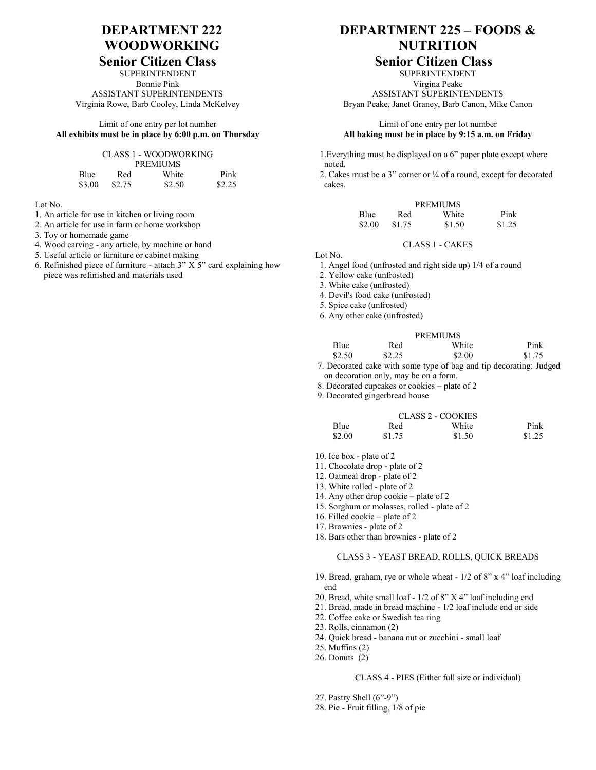# **DEPARTMENT 222 WOODWORKING**

# **Senior Citizen Class**

SUPERINTENDENT Bonnie Pink ASSISTANT SUPERINTENDENTS Virginia Rowe, Barb Cooley, Linda McKelvey

Limit of one entry per lot number **All exhibits must be in place by 6:00 p.m. on Thursday**

#### CLASS 1 - WOODWORKING

| <b>PREMIUMS</b> |        |        |        |  |  |
|-----------------|--------|--------|--------|--|--|
| Blue            | Red    | White  | Pink   |  |  |
| \$3.00          | \$2.75 | \$2.50 | \$2.25 |  |  |

Lot No.

- 1. An article for use in kitchen or living room
- 2. An article for use in farm or home workshop
- 3. Toy or homemade game
- 4. Wood carving any article, by machine or hand
- 5. Useful article or furniture or cabinet making
- 6. Refinished piece of furniture attach 3" X 5" card explaining how piece was refinished and materials used

# **DEPARTMENT 225 – FOODS & NUTRITION**

### **Senior Citizen Class**

SUPERINTENDENT Virgina Peake ASSISTANT SUPERINTENDENTS Bryan Peake, Janet Graney, Barb Canon, Mike Canon

#### Limit of one entry per lot number **All baking must be in place by 9:15 a.m. on Friday**

 1.Everything must be displayed on a 6" paper plate except where noted.

 2. Cakes must be a 3" corner or ¼ of a round, except for decorated cakes.

| <b>PREMIUMS</b> |        |        |        |  |  |
|-----------------|--------|--------|--------|--|--|
| <b>Blue</b>     | Red    | White  | Pink   |  |  |
| \$2.00          | \$1.75 | \$1.50 | \$1.25 |  |  |

#### CLASS 1 - CAKES

Lot No.

1. Angel food (unfrosted and right side up) 1/4 of a round

2. Yellow cake (unfrosted)

3. White cake (unfrosted)

4. Devil's food cake (unfrosted)

5. Spice cake (unfrosted)

|  |  |  |  | 6. Any other cake (unfrosted) |  |
|--|--|--|--|-------------------------------|--|
|--|--|--|--|-------------------------------|--|

| <b>PREMIUMS</b> |        |           |        |  |  |
|-----------------|--------|-----------|--------|--|--|
| Blue            | Red    | White     | Pink   |  |  |
| \$2.50          | \$2.25 | \$2.00    | \$1.75 |  |  |
|                 |        | $ -$<br>. |        |  |  |

7. Decorated cake with some type of bag and tip decorating: Judged on decoration only, may be on a form.

8. Decorated cupcakes or cookies – plate of 2

9. Decorated gingerbread house

| CLASS 2 - COOKIES |        |        |        |  |  |  |
|-------------------|--------|--------|--------|--|--|--|
| <b>Blue</b>       | Red    | White  | Pink   |  |  |  |
| \$2.00            | \$1.75 | \$1.50 | \$1.25 |  |  |  |

- 10. Ice box plate of 2
- 11. Chocolate drop plate of 2
- 12. Oatmeal drop plate of 2
- 13. White rolled plate of 2
- 14. Any other drop cookie plate of 2
- 15. Sorghum or molasses, rolled plate of 2
- 16. Filled cookie plate of 2
- 17. Brownies plate of 2
- 18. Bars other than brownies plate of 2

#### CLASS 3 - YEAST BREAD, ROLLS, QUICK BREADS

- 19. Bread, graham, rye or whole wheat 1/2 of 8" x 4" loaf including end
- 20. Bread, white small loaf 1/2 of 8" X 4" loaf including end
- 21. Bread, made in bread machine 1/2 loaf include end or side
- 22. Coffee cake or Swedish tea ring
- 23. Rolls, cinnamon (2)
- 24. Quick bread banana nut or zucchini small loaf
- 25. Muffins (2)
- 26. Donuts (2)

#### CLASS 4 - PIES (Either full size or individual)

27. Pastry Shell (6"-9")

28. Pie - Fruit filling, 1/8 of pie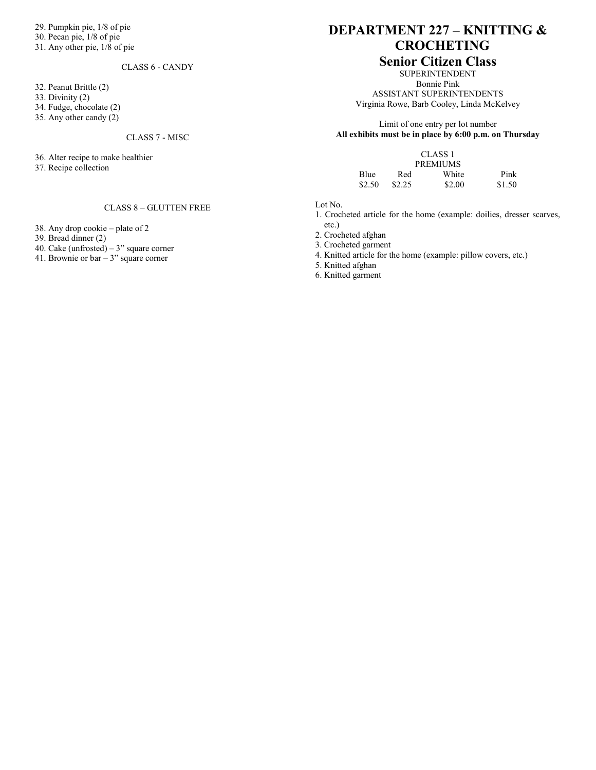29. Pumpkin pie, 1/8 of pie

- 30. Pecan pie, 1/8 of pie
- 31. Any other pie, 1/8 of pie

#### CLASS 6 - CANDY

3 2. Peanut Brittle (2)

33. Divinity (2)

34. Fudge, chocolate (2)

35. Any other candy (2)

#### CLASS 7 - MISC

36. Alter recipe to make healthier

37. Recipe collection

#### CLASS 8 – GLUTTEN FREE

38. Any drop cookie – plate of 2

39. Bread dinner (2)

40. Cake (unfrosted) – 3" square corner

41. Brownie or bar – 3" square corner

# **DEPARTMENT 227 – KNITTING & CROCHETING**

### **Senior Citizen Class**

SUPERINTENDENT Bonnie Pink ASSISTANT SUPERINTENDENTS Virginia Rowe, Barb Cooley, Linda McKelvey

Limit of one entry per lot number **All exhibits must be in place by 6:00 p.m. on Thursday**

|                 |        | CLASS <sub>1</sub> |        |  |  |  |
|-----------------|--------|--------------------|--------|--|--|--|
| <b>PREMIUMS</b> |        |                    |        |  |  |  |
| Blue            | Red    | White              | Pink   |  |  |  |
| \$2.50          | \$2.25 | \$2.00             | \$1.50 |  |  |  |

Lot No.

1. Crocheted article for the home (example: doilies, dresser scarves, etc.)

2. Crocheted afghan

3. Crocheted garment

4. Knitted article for the home (example: pillow covers, etc.)

5. Knitted afghan

6. Knitted garment